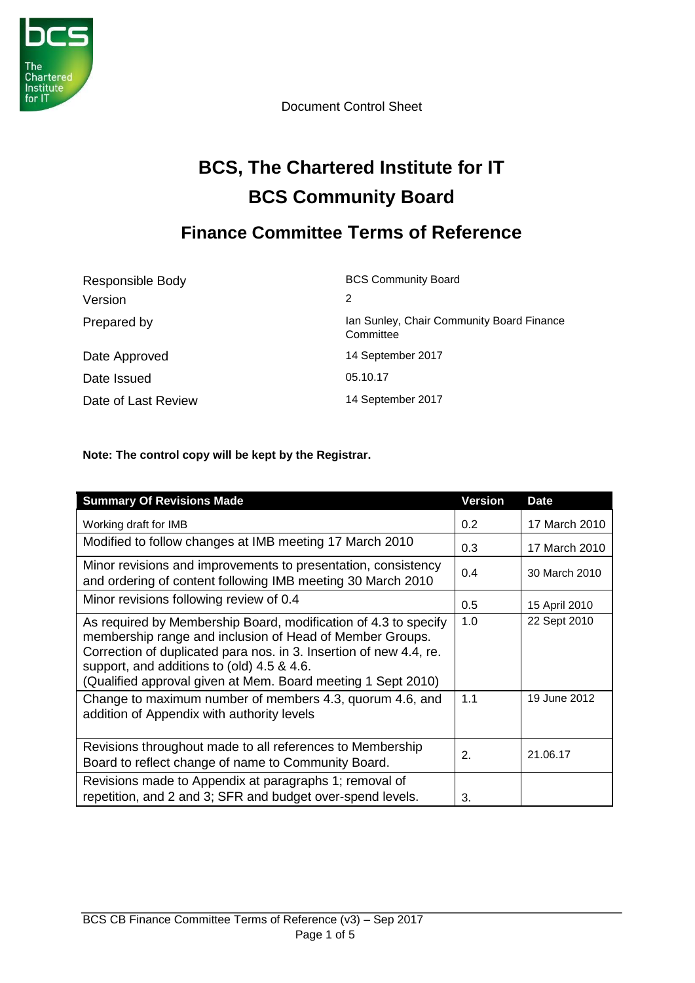

Document Control Sheet

# **BCS, The Chartered Institute for IT BCS Community Board**

# **Finance Committee Terms of Reference**

| Responsible Body    | <b>BCS Community Board</b>                             |
|---------------------|--------------------------------------------------------|
| Version             | 2                                                      |
| Prepared by         | Ian Sunley, Chair Community Board Finance<br>Committee |
| Date Approved       | 14 September 2017                                      |
| Date Issued         | 05.10.17                                               |
| Date of Last Review | 14 September 2017                                      |

**Note: The control copy will be kept by the Registrar.** 

| <b>Summary Of Revisions Made</b>                                                                                                                                                                                                                                                                                | <b>Version</b> | <b>Date</b>   |
|-----------------------------------------------------------------------------------------------------------------------------------------------------------------------------------------------------------------------------------------------------------------------------------------------------------------|----------------|---------------|
| Working draft for IMB                                                                                                                                                                                                                                                                                           | 0.2            | 17 March 2010 |
| Modified to follow changes at IMB meeting 17 March 2010                                                                                                                                                                                                                                                         | 0.3            | 17 March 2010 |
| Minor revisions and improvements to presentation, consistency<br>and ordering of content following IMB meeting 30 March 2010                                                                                                                                                                                    | 0.4            | 30 March 2010 |
| Minor revisions following review of 0.4                                                                                                                                                                                                                                                                         | 0.5            | 15 April 2010 |
| As required by Membership Board, modification of 4.3 to specify<br>membership range and inclusion of Head of Member Groups.<br>Correction of duplicated para nos. in 3. Insertion of new 4.4, re.<br>support, and additions to (old) 4.5 & 4.6.<br>(Qualified approval given at Mem. Board meeting 1 Sept 2010) | 1.0            | 22 Sept 2010  |
| Change to maximum number of members 4.3, quorum 4.6, and<br>addition of Appendix with authority levels                                                                                                                                                                                                          | 1.1            | 19 June 2012  |
| Revisions throughout made to all references to Membership<br>Board to reflect change of name to Community Board.                                                                                                                                                                                                | 2.             | 21.06.17      |
| Revisions made to Appendix at paragraphs 1; removal of<br>repetition, and 2 and 3; SFR and budget over-spend levels.                                                                                                                                                                                            | 3.             |               |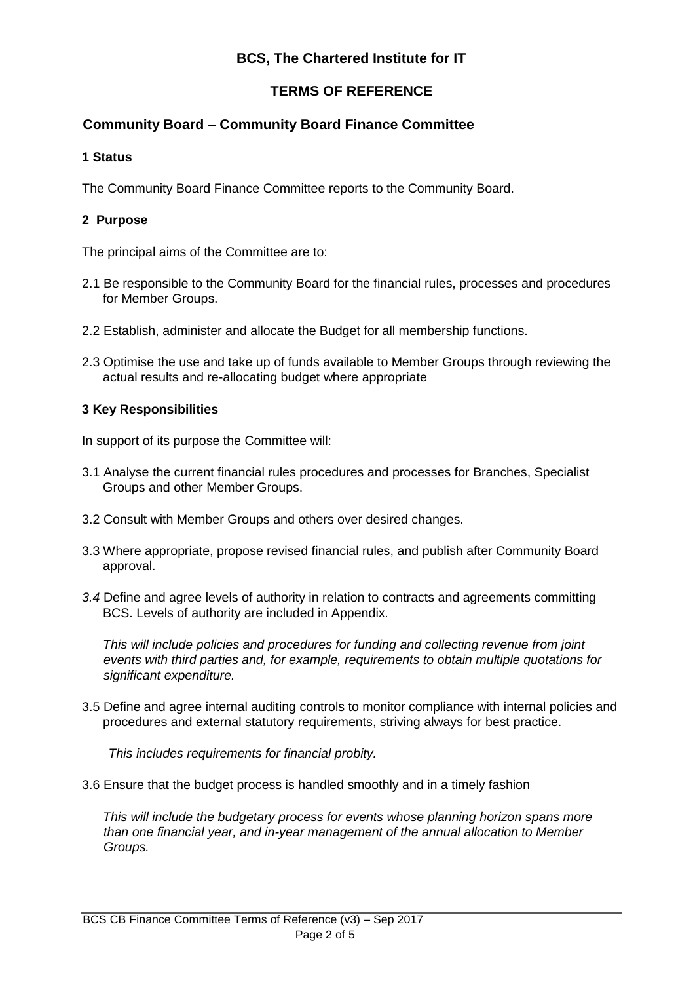### **BCS, The Chartered Institute for IT**

#### **TERMS OF REFERENCE**

#### **Community Board – Community Board Finance Committee**

#### **1 Status**

The Community Board Finance Committee reports to the Community Board.

#### **2 Purpose**

The principal aims of the Committee are to:

- 2.1 Be responsible to the Community Board for the financial rules, processes and procedures for Member Groups.
- 2.2 Establish, administer and allocate the Budget for all membership functions.
- 2.3 Optimise the use and take up of funds available to Member Groups through reviewing the actual results and re-allocating budget where appropriate

#### **3 Key Responsibilities**

In support of its purpose the Committee will:

- 3.1 Analyse the current financial rules procedures and processes for Branches, Specialist Groups and other Member Groups.
- 3.2 Consult with Member Groups and others over desired changes.
- 3.3 Where appropriate, propose revised financial rules, and publish after Community Board approval.
- *3.4* Define and agree levels of authority in relation to contracts and agreements committing BCS. Levels of authority are included in Appendix.

*This will include policies and procedures for funding and collecting revenue from joint events with third parties and, for example, requirements to obtain multiple quotations for significant expenditure.* 

3.5 Define and agree internal auditing controls to monitor compliance with internal policies and procedures and external statutory requirements, striving always for best practice.

*This includes requirements for financial probity.* 

3.6 Ensure that the budget process is handled smoothly and in a timely fashion

*This will include the budgetary process for events whose planning horizon spans more than one financial year, and in-year management of the annual allocation to Member Groups.*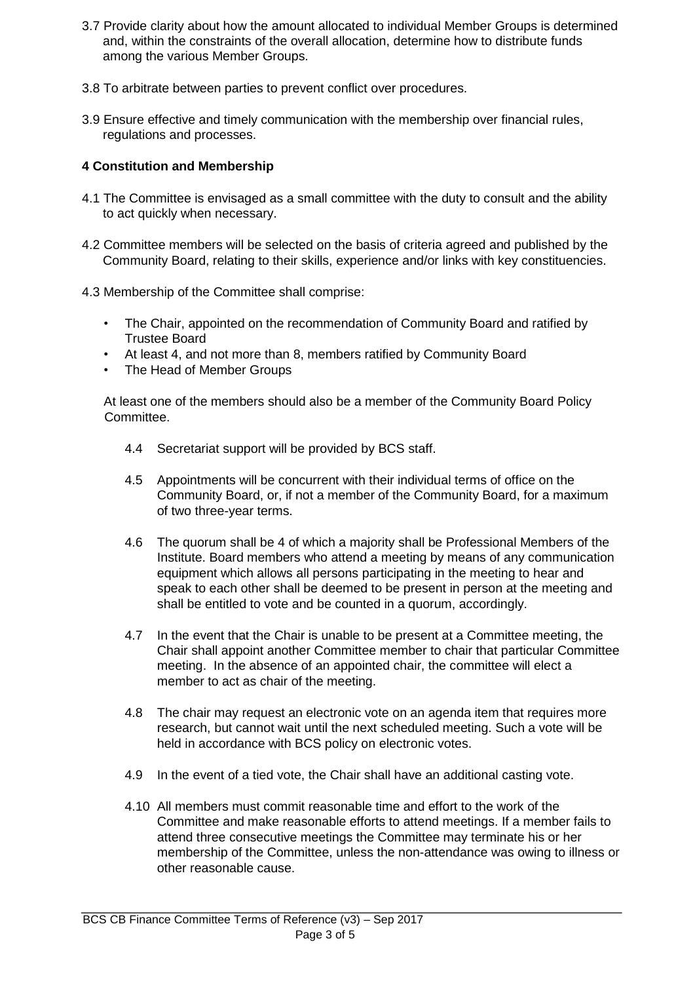- 3.7 Provide clarity about how the amount allocated to individual Member Groups is determined and, within the constraints of the overall allocation, determine how to distribute funds among the various Member Groups.
- 3.8 To arbitrate between parties to prevent conflict over procedures.
- 3.9 Ensure effective and timely communication with the membership over financial rules, regulations and processes.

#### **4 Constitution and Membership**

- 4.1 The Committee is envisaged as a small committee with the duty to consult and the ability to act quickly when necessary.
- 4.2 Committee members will be selected on the basis of criteria agreed and published by the Community Board, relating to their skills, experience and/or links with key constituencies.
- 4.3 Membership of the Committee shall comprise:
	- The Chair, appointed on the recommendation of Community Board and ratified by Trustee Board
	- At least 4, and not more than 8, members ratified by Community Board
	- The Head of Member Groups

At least one of the members should also be a member of the Community Board Policy Committee.

- 4.4 Secretariat support will be provided by BCS staff.
- 4.5 Appointments will be concurrent with their individual terms of office on the Community Board, or, if not a member of the Community Board, for a maximum of two three-year terms.
- 4.6 The quorum shall be 4 of which a majority shall be Professional Members of the Institute. Board members who attend a meeting by means of any communication equipment which allows all persons participating in the meeting to hear and speak to each other shall be deemed to be present in person at the meeting and shall be entitled to vote and be counted in a quorum, accordingly.
- 4.7 In the event that the Chair is unable to be present at a Committee meeting, the Chair shall appoint another Committee member to chair that particular Committee meeting. In the absence of an appointed chair, the committee will elect a member to act as chair of the meeting.
- 4.8 The chair may request an electronic vote on an agenda item that requires more research, but cannot wait until the next scheduled meeting. Such a vote will be held in accordance with BCS policy on electronic votes.
- 4.9 In the event of a tied vote, the Chair shall have an additional casting vote.
- 4.10 All members must commit reasonable time and effort to the work of the Committee and make reasonable efforts to attend meetings. If a member fails to attend three consecutive meetings the Committee may terminate his or her membership of the Committee, unless the non-attendance was owing to illness or other reasonable cause.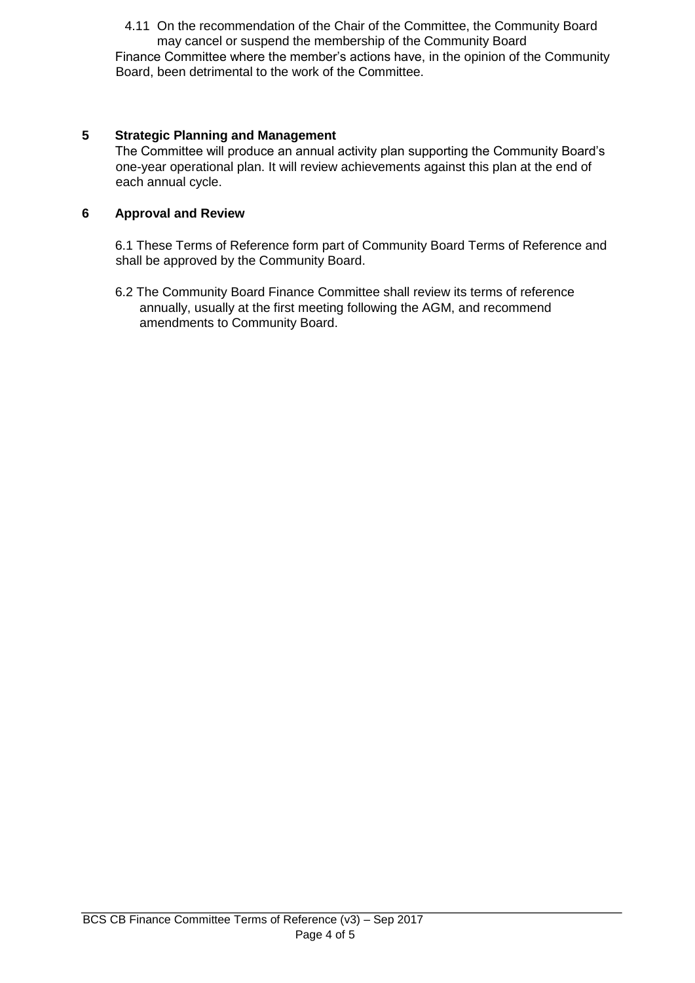4.11 On the recommendation of the Chair of the Committee, the Community Board may cancel or suspend the membership of the Community Board

Finance Committee where the member's actions have, in the opinion of the Community Board, been detrimental to the work of the Committee.

#### **5 Strategic Planning and Management**

The Committee will produce an annual activity plan supporting the Community Board's one-year operational plan. It will review achievements against this plan at the end of each annual cycle.

#### **6 Approval and Review**

6.1 These Terms of Reference form part of Community Board Terms of Reference and shall be approved by the Community Board.

6.2 The Community Board Finance Committee shall review its terms of reference annually, usually at the first meeting following the AGM, and recommend amendments to Community Board.